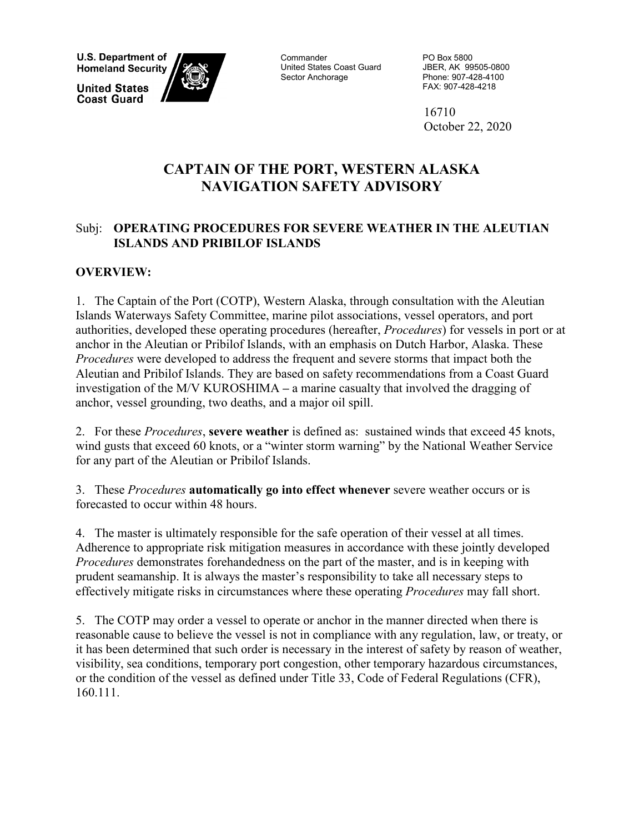**U.S. Department of Homeland Security** 

**United States Coast Guard** 



**Commander** United States Coast Guard Sector Anchorage

PO Box 5800 JBER, AK 99505-0800 Phone: 907-428-4100 FAX: 907-428-4218

16710 October 22, 2020

# **CAPTAIN OF THE PORT, WESTERN ALASKA NAVIGATION SAFETY ADVISORY**

## Subj: **OPERATING PROCEDURES FOR SEVERE WEATHER IN THE ALEUTIAN ISLANDS AND PRIBILOF ISLANDS**

# **OVERVIEW:**

1. The Captain of the Port (COTP), Western Alaska, through consultation with the Aleutian Islands Waterways Safety Committee, marine pilot associations, vessel operators, and port authorities, developed these operating procedures (hereafter, *Procedures*) for vessels in port or at anchor in the Aleutian or Pribilof Islands, with an emphasis on Dutch Harbor, Alaska. These *Procedures* were developed to address the frequent and severe storms that impact both the Aleutian and Pribilof Islands. They are based on safety recommendations from a Coast Guard investigation of the M/V KUROSHIMA **–** a marine casualty that involved the dragging of anchor, vessel grounding, two deaths, and a major oil spill.

2. For these *Procedures*, **severe weather** is defined as: sustained winds that exceed 45 knots, wind gusts that exceed 60 knots, or a "winter storm warning" by the National Weather Service for any part of the Aleutian or Pribilof Islands.

3. These *Procedures* **automatically go into effect whenever** severe weather occurs or is forecasted to occur within 48 hours.

4. The master is ultimately responsible for the safe operation of their vessel at all times. Adherence to appropriate risk mitigation measures in accordance with these jointly developed *Procedures* demonstrates forehandedness on the part of the master, and is in keeping with prudent seamanship. It is always the master's responsibility to take all necessary steps to effectively mitigate risks in circumstances where these operating *Procedures* may fall short.

5. The COTP may order a vessel to operate or anchor in the manner directed when there is reasonable cause to believe the vessel is not in compliance with any regulation, law, or treaty, or it has been determined that such order is necessary in the interest of safety by reason of weather, visibility, sea conditions, temporary port congestion, other temporary hazardous circumstances, or the condition of the vessel as defined under Title 33, Code of Federal Regulations (CFR), 160.111.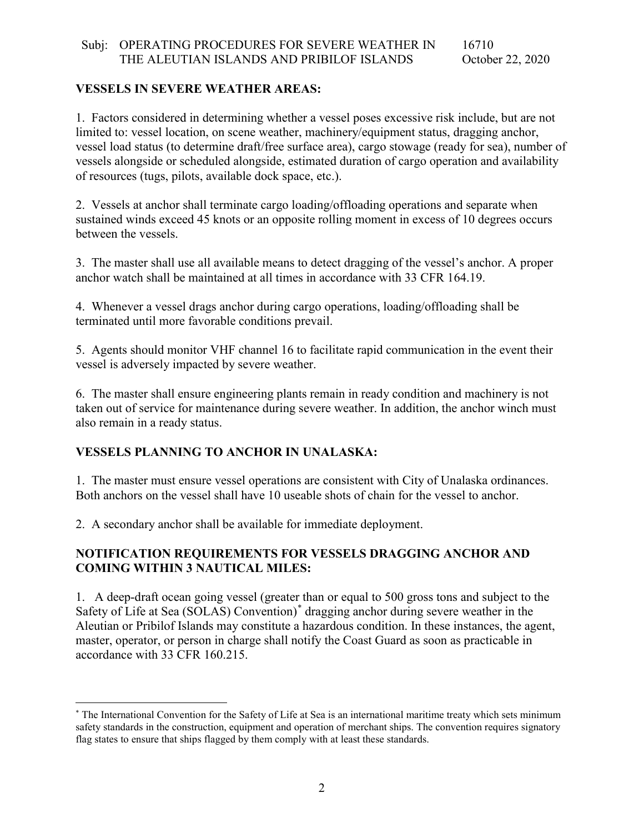#### Subj: OPERATING PROCEDURES FOR SEVERE WEATHER IN THE ALEUTIAN ISLANDS AND PRIBILOF ISLANDS 16710 October 22, 2020

### **VESSELS IN SEVERE WEATHER AREAS:**

1. Factors considered in determining whether a vessel poses excessive risk include, but are not limited to: vessel location, on scene weather, machinery/equipment status, dragging anchor, vessel load status (to determine draft/free surface area), cargo stowage (ready for sea), number of vessels alongside or scheduled alongside, estimated duration of cargo operation and availability of resources (tugs, pilots, available dock space, etc.).

2. Vessels at anchor shall terminate cargo loading/offloading operations and separate when sustained winds exceed 45 knots or an opposite rolling moment in excess of 10 degrees occurs between the vessels.

3. The master shall use all available means to detect dragging of the vessel's anchor. A proper anchor watch shall be maintained at all times in accordance with 33 CFR 164.19.

4. Whenever a vessel drags anchor during cargo operations, loading/offloading shall be terminated until more favorable conditions prevail.

5. Agents should monitor VHF channel 16 to facilitate rapid communication in the event their vessel is adversely impacted by severe weather.

6. The master shall ensure engineering plants remain in ready condition and machinery is not taken out of service for maintenance during severe weather. In addition, the anchor winch must also remain in a ready status.

### **VESSELS PLANNING TO ANCHOR IN UNALASKA:**

1. The master must ensure vessel operations are consistent with City of Unalaska ordinances. Both anchors on the vessel shall have 10 useable shots of chain for the vessel to anchor.

2. A secondary anchor shall be available for immediate deployment.

### **NOTIFICATION REQUIREMENTS FOR VESSELS DRAGGING ANCHOR AND COMING WITHIN 3 NAUTICAL MILES:**

1. A deep-draft ocean going vessel (greater than or equal to 500 gross tons and subject to the Safety of Life at Sea (SOLAS) Convention) [\\*](#page-1-0) dragging anchor during severe weather in the Aleutian or Pribilof Islands may constitute a hazardous condition. In these instances, the agent, master, operator, or person in charge shall notify the Coast Guard as soon as practicable in accordance with 33 CFR 160.215.

<span id="page-1-0"></span> <sup>\*</sup> The International Convention for the Safety of Life at Sea is an international maritime treaty which sets minimum safety standards in the construction, equipment and operation of merchant ships. The convention requires signatory flag states to ensure that ships flagged by them comply with at least these standards.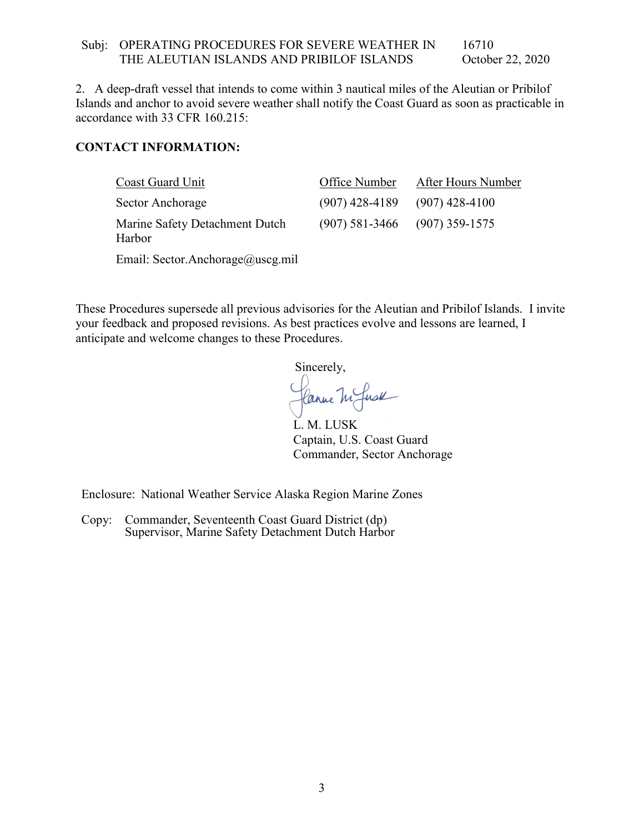#### Subj: OPERATING PROCEDURES FOR SEVERE WEATHER IN THE ALEUTIAN ISLANDS AND PRIBILOF ISLANDS 16710 October 22, 2020

2. A deep-draft vessel that intends to come within 3 nautical miles of the Aleutian or Pribilof Islands and anchor to avoid severe weather shall notify the Coast Guard as soon as practicable in accordance with 33 CFR 160.215:

#### **CONTACT INFORMATION:**

| Coast Guard Unit                         | Office Number | After Hours Number                |
|------------------------------------------|---------------|-----------------------------------|
| Sector Anchorage                         |               | $(907)$ 428-4189 $(907)$ 428-4100 |
| Marine Safety Detachment Dutch<br>Harbor |               | $(907)$ 581-3466 $(907)$ 359-1575 |
| Email: Sector.Anchorage@uscg.mil         |               |                                   |

These Procedures supersede all previous advisories for the Aleutian and Pribilof Islands. I invite your feedback and proposed revisions. As best practices evolve and lessons are learned, I anticipate and welcome changes to these Procedures.

Sincerely,

Canne M fuse

L. M. LUSK Captain, U.S. Coast Guard Commander, Sector Anchorage

Enclosure: National Weather Service Alaska Region Marine Zones

Copy: Commander, Seventeenth Coast Guard District (dp) Supervisor, Marine Safety Detachment Dutch Harbor